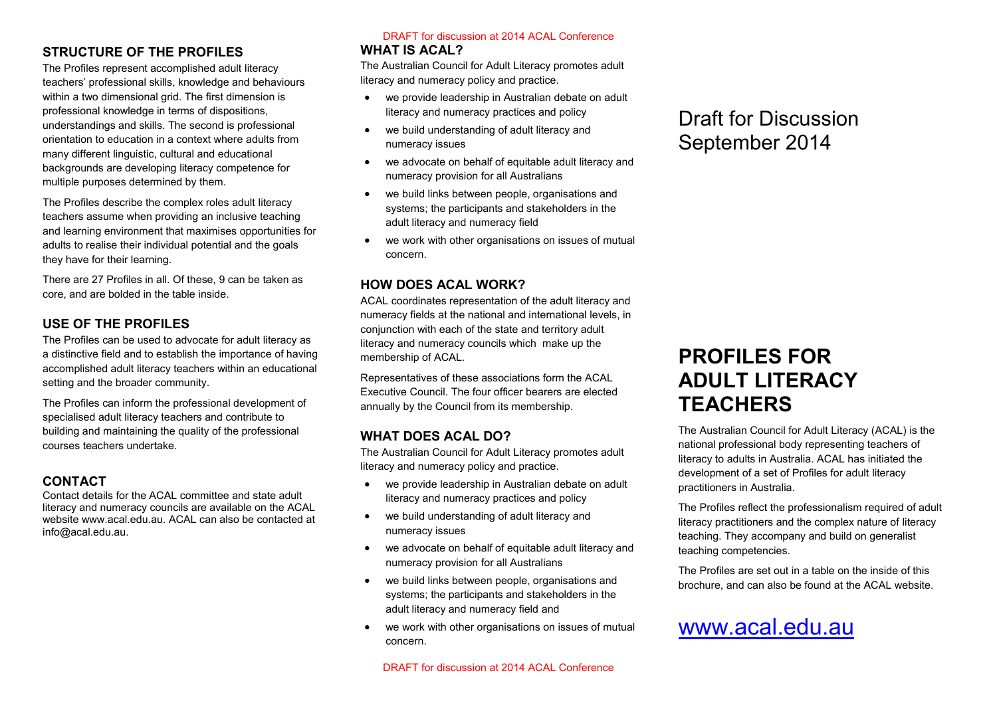### **STRUCTURE OF THE PROFILES**

The Profiles represent accomplished adult literacy teachers' professional skills, knowledge and behaviours within a two dimensional grid. The first dimension is professional knowledge in terms of dispositions, understandings and skills. The second is professional orientation to education in a context where adults from many different linguistic, cultural and educational backgrounds are developing literacy competence for multiple purposes determined by them.

The Profiles describe the complex roles adult literacy teachers assume when providing an inclusive teaching and learning environment that maximises opportunities for adults to realise their individual potential and the goals they have for their learning.

There are 27 Profiles in all. Of these, 9 can be taken as core, and are bolded in the table inside.

#### **USE OF THE PROFILES**

The Profiles can be used to advocate for adult literacy as a distinctive field and to establish the importance of having accomplished adult literacy teachers within an educational setting and the broader community.

The Profiles can inform the professional development of specialised adult literacy teachers and contribute to building and maintaining the quality of the professional courses teachers undertake.

#### **CONTACT**

Contact details for the ACAL committee and state adult literacy and numeracy councils are available on the ACAL website www.acal.edu.au. ACAL can also be contacted at info@acal.edu.au.

# **WHAT IS ACAL?**

The Australian Council for Adult Literacy promotes adult literacy and numeracy policy and practice.

- we provide leadership in Australian debate on adult literacy and numeracy practices and policy
- we build understanding of adult literacy and numeracy issues
- we advocate on behalf of equitable adult literacy and numeracy provision for all Australians
- we build links between people, organisations and systems; the participants and stakeholders in the adult literacy and numeracy field
- we work with other organisations on issues of mutual concern.

#### **HOW DOES ACAL WORK?**

ACAL coordinates representation of the adult literacy and numeracy fields at the national and international levels, in conjunction with each of the state and territory adult literacy and numeracy councils which make up the membership of ACAL. **DRAFT for discussion at 2014 ACAL Conference**<br>**ATIS ACAL?**<br>**ATIS ACAL?**<br>**ANTIS ACAL?**<br>Conference covary and numeracy poilicy and practice.<br>The summeracy poilicy and practical densition debate on ad<br>
we provide leadership

Representatives of these associations form the ACAL Executive Council. The four officer bearers are elected annually by the Council from its membership.

#### **WHAT DOES ACAL DO?**

The Australian Council for Adult Literacy promotes adult literacy and numeracy policy and practice.

- we provide leadership in Australian debate on adult literacy and numeracy practices and policy
- we build understanding of adult literacy and numeracy issues
- we advocate on behalf of equitable adult literacy and numeracy provision for all Australians
- we build links between people, organisations and systems; the participants and stakeholders in the adult literacy and numeracy field and
- we work with other organisations on issues of mutual concern.

### Draft for Discussion September 2014

### **PROFILES FOR ADULT LITERACY TEACHERS**

The Australian Council for Adult Literacy (ACAL) is the national professional body representing teachers of literacy to adults in Australia. ACAL has initiated the development of a set of Profiles for adult literacy practitioners in Australia.

The Profiles reflect the professionalism required of adult literacy practitioners and the complex nature of literacy teaching. They accompany and build on generalist teaching competencies.

The Profiles are set out in a table on the inside of this brochure, and can also be found at the ACAL website.

## [www.acal.edu.au](http://www.acal.edu.au/)